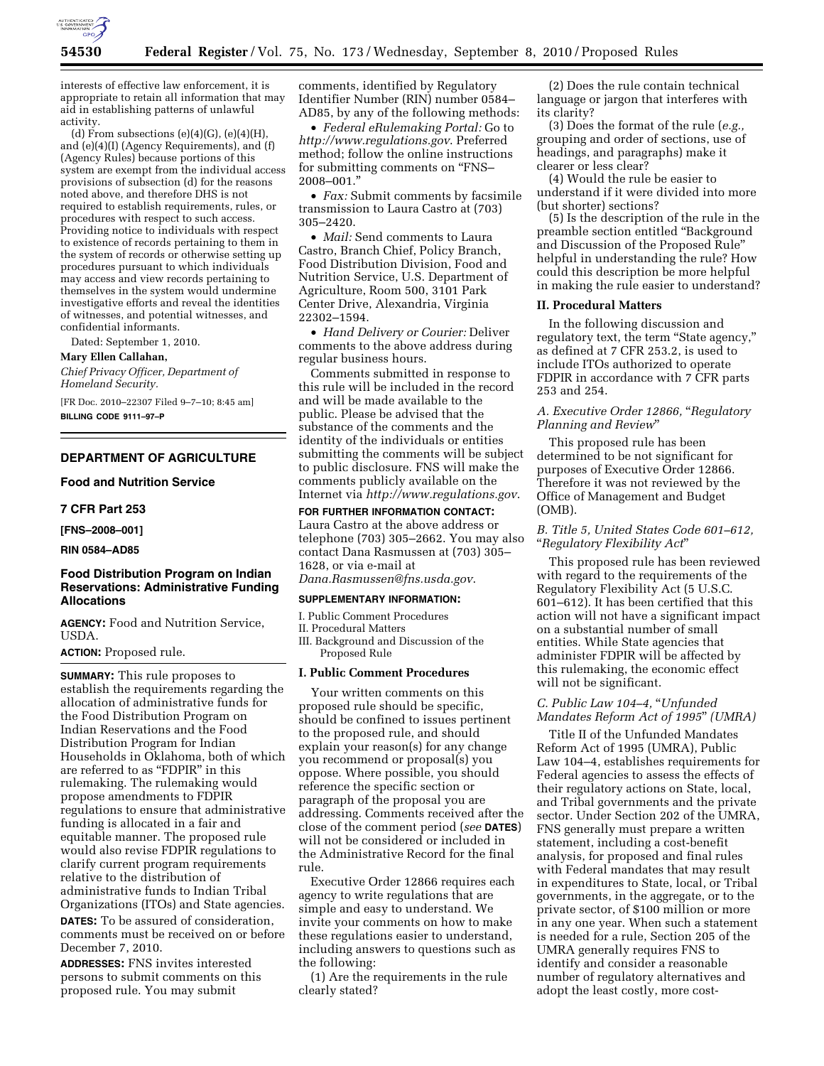

interests of effective law enforcement, it is appropriate to retain all information that may aid in establishing patterns of unlawful activity.

(d) From subsections  $(e)(4)(G)$ ,  $(e)(4)(H)$ , and (e)(4)(I) (Agency Requirements), and (f) (Agency Rules) because portions of this system are exempt from the individual access provisions of subsection (d) for the reasons noted above, and therefore DHS is not required to establish requirements, rules, or procedures with respect to such access. Providing notice to individuals with respect to existence of records pertaining to them in the system of records or otherwise setting up procedures pursuant to which individuals may access and view records pertaining to themselves in the system would undermine investigative efforts and reveal the identities of witnesses, and potential witnesses, and confidential informants.

Dated: September 1, 2010.

# **Mary Ellen Callahan,**

*Chief Privacy Officer, Department of Homeland Security.* 

[FR Doc. 2010–22307 Filed 9–7–10; 8:45 am] **BILLING CODE 9111–97–P** 

# **DEPARTMENT OF AGRICULTURE**

**Food and Nutrition Service** 

**7 CFR Part 253** 

**[FNS–2008–001]** 

**RIN 0584–AD85** 

## **Food Distribution Program on Indian Reservations: Administrative Funding Allocations**

**AGENCY:** Food and Nutrition Service, USDA.

#### **ACTION:** Proposed rule.

**SUMMARY:** This rule proposes to establish the requirements regarding the allocation of administrative funds for the Food Distribution Program on Indian Reservations and the Food Distribution Program for Indian Households in Oklahoma, both of which are referred to as ''FDPIR'' in this rulemaking. The rulemaking would propose amendments to FDPIR regulations to ensure that administrative funding is allocated in a fair and equitable manner. The proposed rule would also revise FDPIR regulations to clarify current program requirements relative to the distribution of administrative funds to Indian Tribal Organizations (ITOs) and State agencies.

**DATES:** To be assured of consideration, comments must be received on or before December 7, 2010.

**ADDRESSES:** FNS invites interested persons to submit comments on this proposed rule. You may submit

comments, identified by Regulatory Identifier Number (RIN) number 0584– AD85, by any of the following methods:

• *Federal eRulemaking Portal:* Go to *<http://www.regulations.gov>*. Preferred method; follow the online instructions for submitting comments on "FNS-2008–001.''

• *Fax:* Submit comments by facsimile transmission to Laura Castro at (703) 305–2420.

• *Mail:* Send comments to Laura Castro, Branch Chief, Policy Branch, Food Distribution Division, Food and Nutrition Service, U.S. Department of Agriculture, Room 500, 3101 Park Center Drive, Alexandria, Virginia 22302–1594.

• *Hand Delivery or Courier:* Deliver comments to the above address during regular business hours.

Comments submitted in response to this rule will be included in the record and will be made available to the public. Please be advised that the substance of the comments and the identity of the individuals or entities submitting the comments will be subject to public disclosure. FNS will make the comments publicly available on the Internet via *<http://www.regulations.gov>*.

**FOR FURTHER INFORMATION CONTACT:**  Laura Castro at the above address or telephone (703) 305–2662. You may also contact Dana Rasmussen at (703) 305– 1628, or via e-mail at

*[Dana.Rasmussen@fns.usda.gov](mailto:Dana.Rasmussen@fns.usda.gov)*.

## **SUPPLEMENTARY INFORMATION:**

I. Public Comment Procedures

II. Procedural Matters

III. Background and Discussion of the Proposed Rule

#### **I. Public Comment Procedures**

Your written comments on this proposed rule should be specific, should be confined to issues pertinent to the proposed rule, and should explain your reason(s) for any change you recommend or proposal(s) you oppose. Where possible, you should reference the specific section or paragraph of the proposal you are addressing. Comments received after the close of the comment period (*see* **DATES**) will not be considered or included in the Administrative Record for the final rule.

Executive Order 12866 requires each agency to write regulations that are simple and easy to understand. We invite your comments on how to make these regulations easier to understand, including answers to questions such as the following:

(1) Are the requirements in the rule clearly stated?

(2) Does the rule contain technical language or jargon that interferes with its clarity?

(3) Does the format of the rule (*e.g.,*  grouping and order of sections, use of headings, and paragraphs) make it clearer or less clear?

(4) Would the rule be easier to understand if it were divided into more (but shorter) sections?

(5) Is the description of the rule in the preamble section entitled ''Background and Discussion of the Proposed Rule'' helpful in understanding the rule? How could this description be more helpful in making the rule easier to understand?

#### **II. Procedural Matters**

In the following discussion and regulatory text, the term "State agency," as defined at 7 CFR 253.2, is used to include ITOs authorized to operate FDPIR in accordance with 7 CFR parts 253 and 254.

*A. Executive Order 12866,* ''*Regulatory Planning and Review*''

This proposed rule has been determined to be not significant for purposes of Executive Order 12866. Therefore it was not reviewed by the Office of Management and Budget (OMB).

## *B. Title 5, United States Code 601–612,*  ''*Regulatory Flexibility Act*''

This proposed rule has been reviewed with regard to the requirements of the Regulatory Flexibility Act (5 U.S.C. 601–612). It has been certified that this action will not have a significant impact on a substantial number of small entities. While State agencies that administer FDPIR will be affected by this rulemaking, the economic effect will not be significant.

## *C. Public Law 104–4,* ''*Unfunded Mandates Reform Act of 1995*'' *(UMRA)*

Title II of the Unfunded Mandates Reform Act of 1995 (UMRA), Public Law 104–4, establishes requirements for Federal agencies to assess the effects of their regulatory actions on State, local, and Tribal governments and the private sector. Under Section 202 of the UMRA, FNS generally must prepare a written statement, including a cost-benefit analysis, for proposed and final rules with Federal mandates that may result in expenditures to State, local, or Tribal governments, in the aggregate, or to the private sector, of \$100 million or more in any one year. When such a statement is needed for a rule, Section 205 of the UMRA generally requires FNS to identify and consider a reasonable number of regulatory alternatives and adopt the least costly, more cost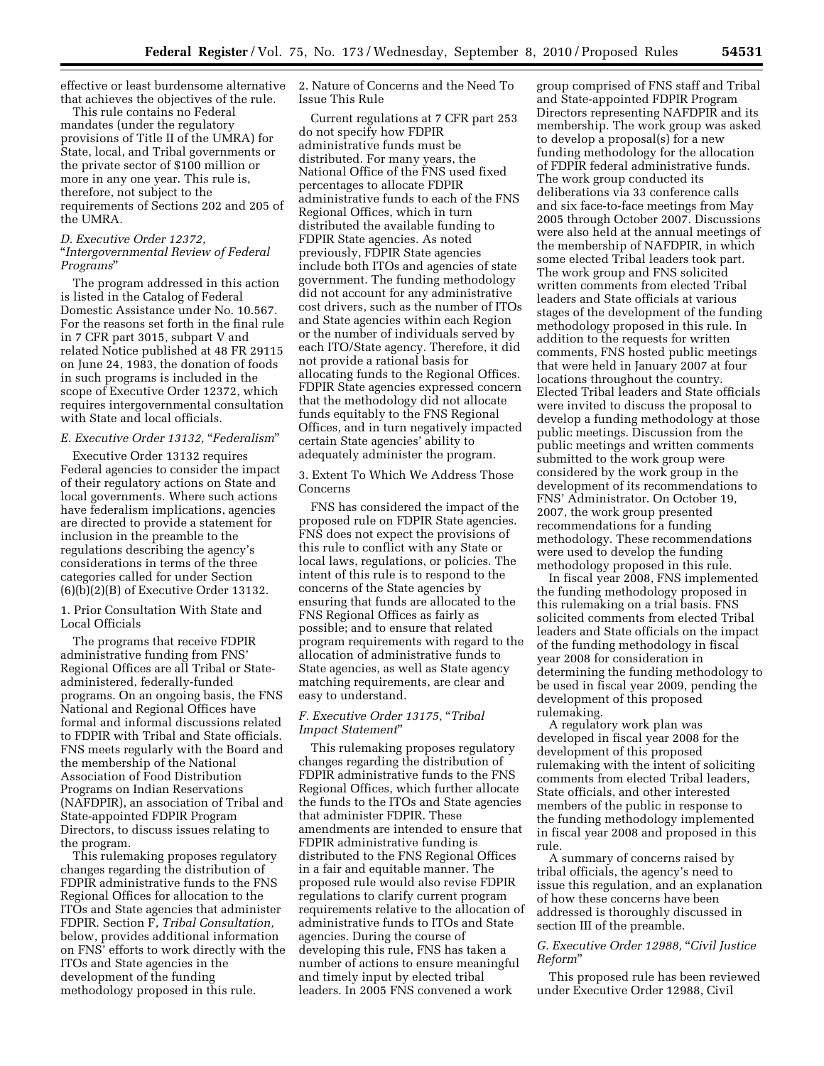effective or least burdensome alternative that achieves the objectives of the rule.

This rule contains no Federal mandates (under the regulatory provisions of Title II of the UMRA) for State, local, and Tribal governments or the private sector of \$100 million or more in any one year. This rule is, therefore, not subject to the requirements of Sections 202 and 205 of the UMRA.

## *D. Executive Order 12372,*  ''*Intergovernmental Review of Federal Programs*''

The program addressed in this action is listed in the Catalog of Federal Domestic Assistance under No. 10.567. For the reasons set forth in the final rule in 7 CFR part 3015, subpart V and related Notice published at 48 FR 29115 on June 24, 1983, the donation of foods in such programs is included in the scope of Executive Order 12372, which requires intergovernmental consultation with State and local officials.

# *E. Executive Order 13132,* ''*Federalism*''

Executive Order 13132 requires Federal agencies to consider the impact of their regulatory actions on State and local governments. Where such actions have federalism implications, agencies are directed to provide a statement for inclusion in the preamble to the regulations describing the agency's considerations in terms of the three categories called for under Section (6)(b)(2)(B) of Executive Order 13132.

1. Prior Consultation With State and Local Officials

The programs that receive FDPIR administrative funding from FNS' Regional Offices are all Tribal or Stateadministered, federally-funded programs. On an ongoing basis, the FNS National and Regional Offices have formal and informal discussions related to FDPIR with Tribal and State officials. FNS meets regularly with the Board and the membership of the National Association of Food Distribution Programs on Indian Reservations (NAFDPIR), an association of Tribal and State-appointed FDPIR Program Directors, to discuss issues relating to the program.

This rulemaking proposes regulatory changes regarding the distribution of FDPIR administrative funds to the FNS Regional Offices for allocation to the ITOs and State agencies that administer FDPIR. Section F, *Tribal Consultation,*  below, provides additional information on FNS' efforts to work directly with the ITOs and State agencies in the development of the funding methodology proposed in this rule.

2. Nature of Concerns and the Need To Issue This Rule

Current regulations at 7 CFR part 253 do not specify how FDPIR administrative funds must be distributed. For many years, the National Office of the FNS used fixed percentages to allocate FDPIR administrative funds to each of the FNS Regional Offices, which in turn distributed the available funding to FDPIR State agencies. As noted previously, FDPIR State agencies include both ITOs and agencies of state government. The funding methodology did not account for any administrative cost drivers, such as the number of ITOs and State agencies within each Region or the number of individuals served by each ITO/State agency. Therefore, it did not provide a rational basis for allocating funds to the Regional Offices. FDPIR State agencies expressed concern that the methodology did not allocate funds equitably to the FNS Regional Offices, and in turn negatively impacted certain State agencies' ability to adequately administer the program.

3. Extent To Which We Address Those Concerns

FNS has considered the impact of the proposed rule on FDPIR State agencies. FNS does not expect the provisions of this rule to conflict with any State or local laws, regulations, or policies. The intent of this rule is to respond to the concerns of the State agencies by ensuring that funds are allocated to the FNS Regional Offices as fairly as possible; and to ensure that related program requirements with regard to the allocation of administrative funds to State agencies, as well as State agency matching requirements, are clear and easy to understand.

## *F. Executive Order 13175,* ''*Tribal Impact Statement*''

This rulemaking proposes regulatory changes regarding the distribution of FDPIR administrative funds to the FNS Regional Offices, which further allocate the funds to the ITOs and State agencies that administer FDPIR. These amendments are intended to ensure that FDPIR administrative funding is distributed to the FNS Regional Offices in a fair and equitable manner. The proposed rule would also revise FDPIR regulations to clarify current program requirements relative to the allocation of administrative funds to ITOs and State agencies. During the course of developing this rule, FNS has taken a number of actions to ensure meaningful and timely input by elected tribal leaders. In 2005 FNS convened a work

group comprised of FNS staff and Tribal and State-appointed FDPIR Program Directors representing NAFDPIR and its membership. The work group was asked to develop a proposal(s) for a new funding methodology for the allocation of FDPIR federal administrative funds. The work group conducted its deliberations via 33 conference calls and six face-to-face meetings from May 2005 through October 2007. Discussions were also held at the annual meetings of the membership of NAFDPIR, in which some elected Tribal leaders took part. The work group and FNS solicited written comments from elected Tribal leaders and State officials at various stages of the development of the funding methodology proposed in this rule. In addition to the requests for written comments, FNS hosted public meetings that were held in January 2007 at four locations throughout the country. Elected Tribal leaders and State officials were invited to discuss the proposal to develop a funding methodology at those public meetings. Discussion from the public meetings and written comments submitted to the work group were considered by the work group in the development of its recommendations to FNS' Administrator. On October 19, 2007, the work group presented recommendations for a funding methodology. These recommendations were used to develop the funding methodology proposed in this rule.

In fiscal year 2008, FNS implemented the funding methodology proposed in this rulemaking on a trial basis. FNS solicited comments from elected Tribal leaders and State officials on the impact of the funding methodology in fiscal year 2008 for consideration in determining the funding methodology to be used in fiscal year 2009, pending the development of this proposed rulemaking.

A regulatory work plan was developed in fiscal year 2008 for the development of this proposed rulemaking with the intent of soliciting comments from elected Tribal leaders, State officials, and other interested members of the public in response to the funding methodology implemented in fiscal year 2008 and proposed in this rule.

A summary of concerns raised by tribal officials, the agency's need to issue this regulation, and an explanation of how these concerns have been addressed is thoroughly discussed in section III of the preamble.

# *G. Executive Order 12988,* ''*Civil Justice Reform*''

This proposed rule has been reviewed under Executive Order 12988, Civil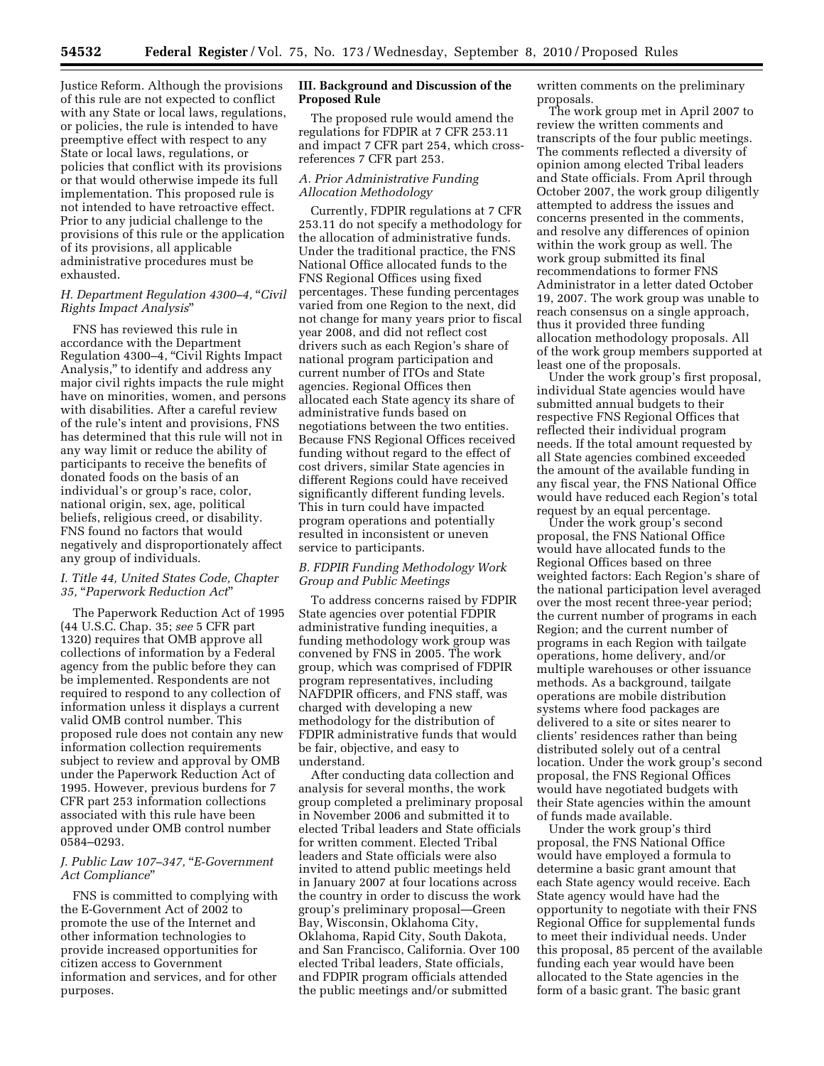Justice Reform. Although the provisions of this rule are not expected to conflict with any State or local laws, regulations, or policies, the rule is intended to have preemptive effect with respect to any State or local laws, regulations, or policies that conflict with its provisions or that would otherwise impede its full implementation. This proposed rule is not intended to have retroactive effect. Prior to any judicial challenge to the provisions of this rule or the application of its provisions, all applicable administrative procedures must be exhausted.

# *H. Department Regulation 4300–4,* ''*Civil Rights Impact Analysis*''

FNS has reviewed this rule in accordance with the Department Regulation 4300–4, ''Civil Rights Impact Analysis,'' to identify and address any major civil rights impacts the rule might have on minorities, women, and persons with disabilities. After a careful review of the rule's intent and provisions, FNS has determined that this rule will not in any way limit or reduce the ability of participants to receive the benefits of donated foods on the basis of an individual's or group's race, color, national origin, sex, age, political beliefs, religious creed, or disability. FNS found no factors that would negatively and disproportionately affect any group of individuals.

### *I. Title 44, United States Code, Chapter 35,* ''*Paperwork Reduction Act*''

The Paperwork Reduction Act of 1995 (44 U.S.C. Chap. 35; *see* 5 CFR part 1320) requires that OMB approve all collections of information by a Federal agency from the public before they can be implemented. Respondents are not required to respond to any collection of information unless it displays a current valid OMB control number. This proposed rule does not contain any new information collection requirements subject to review and approval by OMB under the Paperwork Reduction Act of 1995. However, previous burdens for 7 CFR part 253 information collections associated with this rule have been approved under OMB control number 0584–0293.

## *J. Public Law 107–347,* ''*E-Government Act Compliance*''

FNS is committed to complying with the E-Government Act of 2002 to promote the use of the Internet and other information technologies to provide increased opportunities for citizen access to Government information and services, and for other purposes.

## **III. Background and Discussion of the Proposed Rule**

The proposed rule would amend the regulations for FDPIR at 7 CFR 253.11 and impact 7 CFR part 254, which crossreferences 7 CFR part 253.

## *A. Prior Administrative Funding Allocation Methodology*

Currently, FDPIR regulations at 7 CFR 253.11 do not specify a methodology for the allocation of administrative funds. Under the traditional practice, the FNS National Office allocated funds to the FNS Regional Offices using fixed percentages. These funding percentages varied from one Region to the next, did not change for many years prior to fiscal year 2008, and did not reflect cost drivers such as each Region's share of national program participation and current number of ITOs and State agencies. Regional Offices then allocated each State agency its share of administrative funds based on negotiations between the two entities. Because FNS Regional Offices received funding without regard to the effect of cost drivers, similar State agencies in different Regions could have received significantly different funding levels. This in turn could have impacted program operations and potentially resulted in inconsistent or uneven service to participants.

## *B. FDPIR Funding Methodology Work Group and Public Meetings*

To address concerns raised by FDPIR State agencies over potential FDPIR administrative funding inequities, a funding methodology work group was convened by FNS in 2005. The work group, which was comprised of FDPIR program representatives, including NAFDPIR officers, and FNS staff, was charged with developing a new methodology for the distribution of FDPIR administrative funds that would be fair, objective, and easy to understand.

After conducting data collection and analysis for several months, the work group completed a preliminary proposal in November 2006 and submitted it to elected Tribal leaders and State officials for written comment. Elected Tribal leaders and State officials were also invited to attend public meetings held in January 2007 at four locations across the country in order to discuss the work group's preliminary proposal—Green Bay, Wisconsin, Oklahoma City, Oklahoma, Rapid City, South Dakota, and San Francisco, California. Over 100 elected Tribal leaders, State officials, and FDPIR program officials attended the public meetings and/or submitted

written comments on the preliminary proposals.

The work group met in April 2007 to review the written comments and transcripts of the four public meetings. The comments reflected a diversity of opinion among elected Tribal leaders and State officials. From April through October 2007, the work group diligently attempted to address the issues and concerns presented in the comments, and resolve any differences of opinion within the work group as well. The work group submitted its final recommendations to former FNS Administrator in a letter dated October 19, 2007. The work group was unable to reach consensus on a single approach, thus it provided three funding allocation methodology proposals. All of the work group members supported at least one of the proposals.

Under the work group's first proposal, individual State agencies would have submitted annual budgets to their respective FNS Regional Offices that reflected their individual program needs. If the total amount requested by all State agencies combined exceeded the amount of the available funding in any fiscal year, the FNS National Office would have reduced each Region's total request by an equal percentage.

Under the work group's second proposal, the FNS National Office would have allocated funds to the Regional Offices based on three weighted factors: Each Region's share of the national participation level averaged over the most recent three-year period; the current number of programs in each Region; and the current number of programs in each Region with tailgate operations, home delivery, and/or multiple warehouses or other issuance methods. As a background, tailgate operations are mobile distribution systems where food packages are delivered to a site or sites nearer to clients' residences rather than being distributed solely out of a central location. Under the work group's second proposal, the FNS Regional Offices would have negotiated budgets with their State agencies within the amount of funds made available.

Under the work group's third proposal, the FNS National Office would have employed a formula to determine a basic grant amount that each State agency would receive. Each State agency would have had the opportunity to negotiate with their FNS Regional Office for supplemental funds to meet their individual needs. Under this proposal, 85 percent of the available funding each year would have been allocated to the State agencies in the form of a basic grant. The basic grant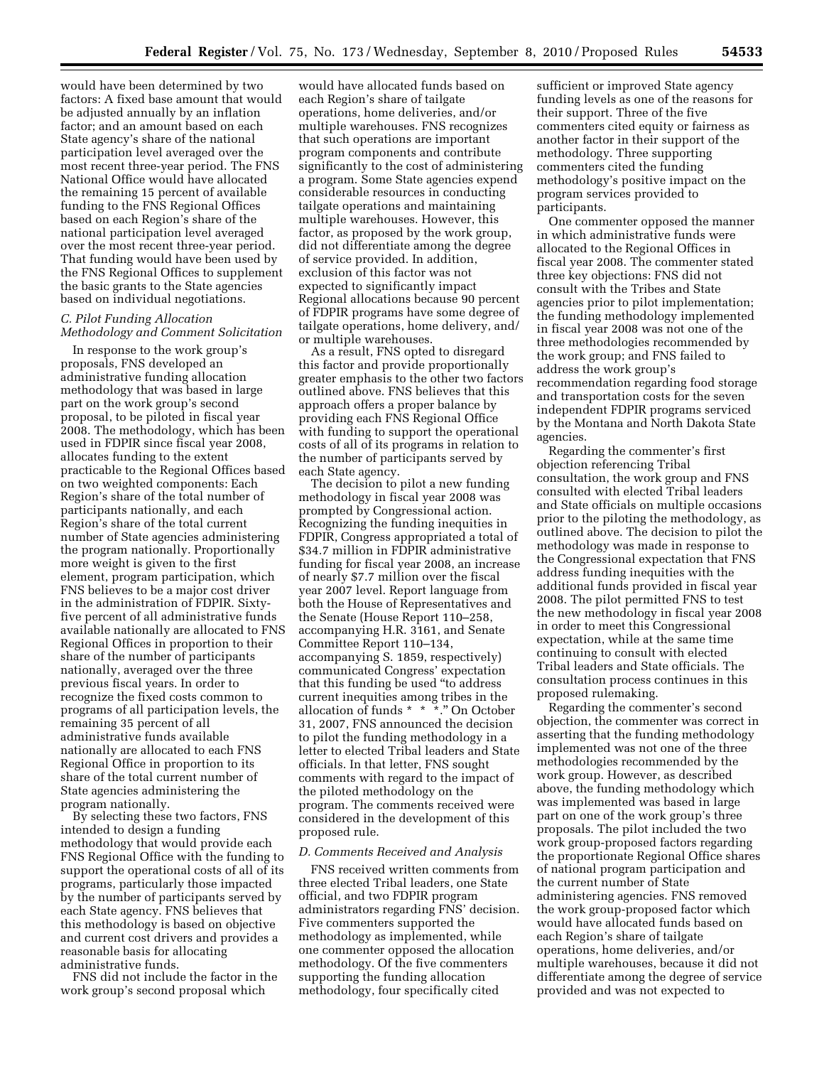would have been determined by two factors: A fixed base amount that would be adjusted annually by an inflation factor; and an amount based on each State agency's share of the national participation level averaged over the most recent three-year period. The FNS National Office would have allocated the remaining 15 percent of available funding to the FNS Regional Offices based on each Region's share of the national participation level averaged over the most recent three-year period. That funding would have been used by the FNS Regional Offices to supplement the basic grants to the State agencies based on individual negotiations.

### *C. Pilot Funding Allocation Methodology and Comment Solicitation*

In response to the work group's proposals, FNS developed an administrative funding allocation methodology that was based in large part on the work group's second proposal, to be piloted in fiscal year 2008. The methodology, which has been used in FDPIR since fiscal year 2008, allocates funding to the extent practicable to the Regional Offices based on two weighted components: Each Region's share of the total number of participants nationally, and each Region's share of the total current number of State agencies administering the program nationally. Proportionally more weight is given to the first element, program participation, which FNS believes to be a major cost driver in the administration of FDPIR. Sixtyfive percent of all administrative funds available nationally are allocated to FNS Regional Offices in proportion to their share of the number of participants nationally, averaged over the three previous fiscal years. In order to recognize the fixed costs common to programs of all participation levels, the remaining 35 percent of all administrative funds available nationally are allocated to each FNS Regional Office in proportion to its share of the total current number of State agencies administering the program nationally.

By selecting these two factors, FNS intended to design a funding methodology that would provide each FNS Regional Office with the funding to support the operational costs of all of its programs, particularly those impacted by the number of participants served by each State agency. FNS believes that this methodology is based on objective and current cost drivers and provides a reasonable basis for allocating administrative funds.

FNS did not include the factor in the work group's second proposal which

would have allocated funds based on each Region's share of tailgate operations, home deliveries, and/or multiple warehouses. FNS recognizes that such operations are important program components and contribute significantly to the cost of administering a program. Some State agencies expend considerable resources in conducting tailgate operations and maintaining multiple warehouses. However, this factor, as proposed by the work group, did not differentiate among the degree of service provided. In addition, exclusion of this factor was not expected to significantly impact Regional allocations because 90 percent of FDPIR programs have some degree of tailgate operations, home delivery, and/ or multiple warehouses.

As a result, FNS opted to disregard this factor and provide proportionally greater emphasis to the other two factors outlined above. FNS believes that this approach offers a proper balance by providing each FNS Regional Office with funding to support the operational costs of all of its programs in relation to the number of participants served by each State agency.

The decision to pilot a new funding methodology in fiscal year 2008 was prompted by Congressional action. Recognizing the funding inequities in FDPIR, Congress appropriated a total of \$34.7 million in FDPIR administrative funding for fiscal year 2008, an increase of nearly \$7.7 million over the fiscal year 2007 level. Report language from both the House of Representatives and the Senate (House Report 110–258, accompanying H.R. 3161, and Senate Committee Report 110–134, accompanying S. 1859, respectively) communicated Congress' expectation that this funding be used ''to address current inequities among tribes in the allocation of funds \* \* \*.'' On October 31, 2007, FNS announced the decision to pilot the funding methodology in a letter to elected Tribal leaders and State officials. In that letter, FNS sought comments with regard to the impact of the piloted methodology on the program. The comments received were considered in the development of this proposed rule.

#### *D. Comments Received and Analysis*

FNS received written comments from three elected Tribal leaders, one State official, and two FDPIR program administrators regarding FNS' decision. Five commenters supported the methodology as implemented, while one commenter opposed the allocation methodology. Of the five commenters supporting the funding allocation methodology, four specifically cited

sufficient or improved State agency funding levels as one of the reasons for their support. Three of the five commenters cited equity or fairness as another factor in their support of the methodology. Three supporting commenters cited the funding methodology's positive impact on the program services provided to participants.

One commenter opposed the manner in which administrative funds were allocated to the Regional Offices in fiscal year 2008. The commenter stated three key objections: FNS did not consult with the Tribes and State agencies prior to pilot implementation; the funding methodology implemented in fiscal year 2008 was not one of the three methodologies recommended by the work group; and FNS failed to address the work group's recommendation regarding food storage and transportation costs for the seven independent FDPIR programs serviced by the Montana and North Dakota State agencies.

Regarding the commenter's first objection referencing Tribal consultation, the work group and FNS consulted with elected Tribal leaders and State officials on multiple occasions prior to the piloting the methodology, as outlined above. The decision to pilot the methodology was made in response to the Congressional expectation that FNS address funding inequities with the additional funds provided in fiscal year 2008. The pilot permitted FNS to test the new methodology in fiscal year 2008 in order to meet this Congressional expectation, while at the same time continuing to consult with elected Tribal leaders and State officials. The consultation process continues in this proposed rulemaking.

Regarding the commenter's second objection, the commenter was correct in asserting that the funding methodology implemented was not one of the three methodologies recommended by the work group. However, as described above, the funding methodology which was implemented was based in large part on one of the work group's three proposals. The pilot included the two work group-proposed factors regarding the proportionate Regional Office shares of national program participation and the current number of State administering agencies. FNS removed the work group-proposed factor which would have allocated funds based on each Region's share of tailgate operations, home deliveries, and/or multiple warehouses, because it did not differentiate among the degree of service provided and was not expected to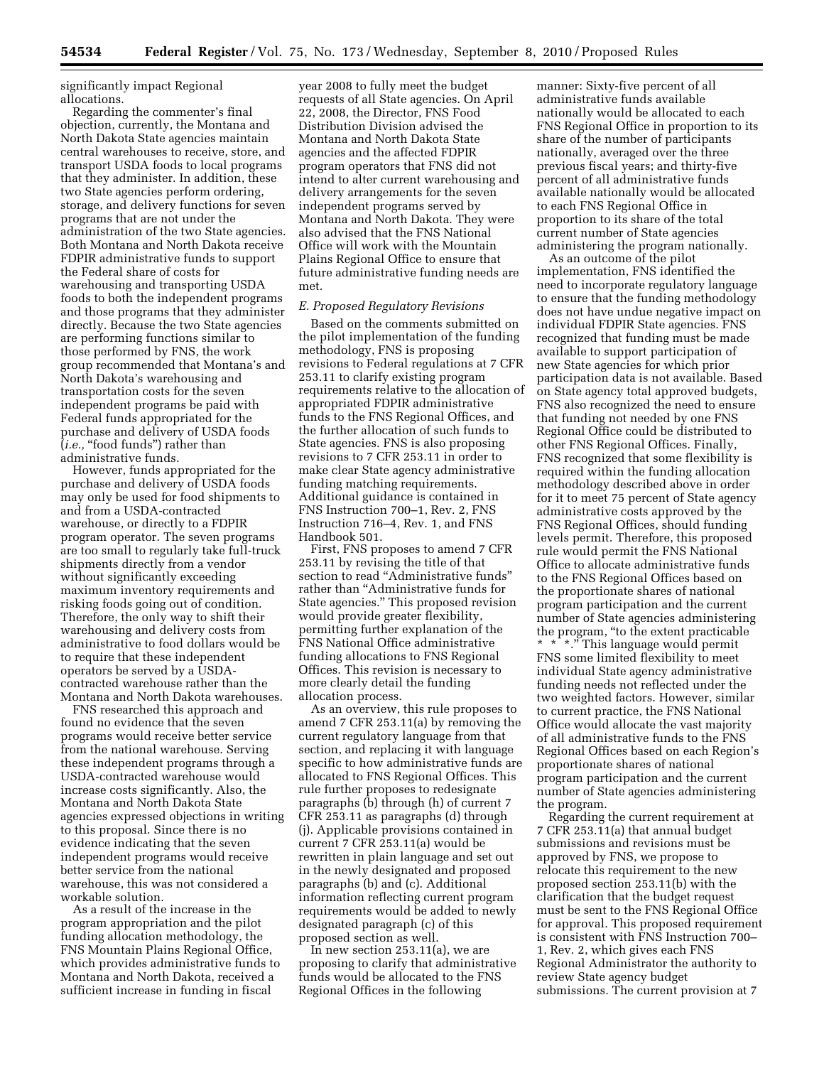significantly impact Regional allocations.

Regarding the commenter's final objection, currently, the Montana and North Dakota State agencies maintain central warehouses to receive, store, and transport USDA foods to local programs that they administer. In addition, these two State agencies perform ordering, storage, and delivery functions for seven programs that are not under the administration of the two State agencies. Both Montana and North Dakota receive FDPIR administrative funds to support the Federal share of costs for warehousing and transporting USDA foods to both the independent programs and those programs that they administer directly. Because the two State agencies are performing functions similar to those performed by FNS, the work group recommended that Montana's and North Dakota's warehousing and transportation costs for the seven independent programs be paid with Federal funds appropriated for the purchase and delivery of USDA foods  $(i.e., "food funds") rather than$ administrative funds.

However, funds appropriated for the purchase and delivery of USDA foods may only be used for food shipments to and from a USDA-contracted warehouse, or directly to a FDPIR program operator. The seven programs are too small to regularly take full-truck shipments directly from a vendor without significantly exceeding maximum inventory requirements and risking foods going out of condition. Therefore, the only way to shift their warehousing and delivery costs from administrative to food dollars would be to require that these independent operators be served by a USDAcontracted warehouse rather than the Montana and North Dakota warehouses.

FNS researched this approach and found no evidence that the seven programs would receive better service from the national warehouse. Serving these independent programs through a USDA-contracted warehouse would increase costs significantly. Also, the Montana and North Dakota State agencies expressed objections in writing to this proposal. Since there is no evidence indicating that the seven independent programs would receive better service from the national warehouse, this was not considered a workable solution.

As a result of the increase in the program appropriation and the pilot funding allocation methodology, the FNS Mountain Plains Regional Office, which provides administrative funds to Montana and North Dakota, received a sufficient increase in funding in fiscal

year 2008 to fully meet the budget requests of all State agencies. On April 22, 2008, the Director, FNS Food Distribution Division advised the Montana and North Dakota State agencies and the affected FDPIR program operators that FNS did not intend to alter current warehousing and delivery arrangements for the seven independent programs served by Montana and North Dakota. They were also advised that the FNS National Office will work with the Mountain Plains Regional Office to ensure that future administrative funding needs are met.

#### *E. Proposed Regulatory Revisions*

Based on the comments submitted on the pilot implementation of the funding methodology, FNS is proposing revisions to Federal regulations at 7 CFR 253.11 to clarify existing program requirements relative to the allocation of appropriated FDPIR administrative funds to the FNS Regional Offices, and the further allocation of such funds to State agencies. FNS is also proposing revisions to 7 CFR 253.11 in order to make clear State agency administrative funding matching requirements. Additional guidance is contained in FNS Instruction 700–1, Rev. 2, FNS Instruction 716–4, Rev. 1, and FNS Handbook 501.

First, FNS proposes to amend 7 CFR 253.11 by revising the title of that section to read "Administrative funds" rather than ''Administrative funds for State agencies.'' This proposed revision would provide greater flexibility, permitting further explanation of the FNS National Office administrative funding allocations to FNS Regional Offices. This revision is necessary to more clearly detail the funding allocation process.

As an overview, this rule proposes to amend 7 CFR 253.11(a) by removing the current regulatory language from that section, and replacing it with language specific to how administrative funds are allocated to FNS Regional Offices. This rule further proposes to redesignate paragraphs (b) through (h) of current 7 CFR 253.11 as paragraphs (d) through (j). Applicable provisions contained in current 7 CFR 253.11(a) would be rewritten in plain language and set out in the newly designated and proposed paragraphs (b) and (c). Additional information reflecting current program requirements would be added to newly designated paragraph (c) of this proposed section as well.

In new section 253.11(a), we are proposing to clarify that administrative funds would be allocated to the FNS Regional Offices in the following

manner: Sixty-five percent of all administrative funds available nationally would be allocated to each FNS Regional Office in proportion to its share of the number of participants nationally, averaged over the three previous fiscal years; and thirty-five percent of all administrative funds available nationally would be allocated to each FNS Regional Office in proportion to its share of the total current number of State agencies administering the program nationally.

As an outcome of the pilot implementation, FNS identified the need to incorporate regulatory language to ensure that the funding methodology does not have undue negative impact on individual FDPIR State agencies. FNS recognized that funding must be made available to support participation of new State agencies for which prior participation data is not available. Based on State agency total approved budgets, FNS also recognized the need to ensure that funding not needed by one FNS Regional Office could be distributed to other FNS Regional Offices. Finally, FNS recognized that some flexibility is required within the funding allocation methodology described above in order for it to meet 75 percent of State agency administrative costs approved by the FNS Regional Offices, should funding levels permit. Therefore, this proposed rule would permit the FNS National Office to allocate administrative funds to the FNS Regional Offices based on the proportionate shares of national program participation and the current number of State agencies administering the program, ''to the extent practicable \* \* \*.'' This language would permit FNS some limited flexibility to meet individual State agency administrative funding needs not reflected under the two weighted factors. However, similar to current practice, the FNS National Office would allocate the vast majority of all administrative funds to the FNS Regional Offices based on each Region's proportionate shares of national program participation and the current number of State agencies administering the program.

Regarding the current requirement at 7 CFR 253.11(a) that annual budget submissions and revisions must be approved by FNS, we propose to relocate this requirement to the new proposed section 253.11(b) with the clarification that the budget request must be sent to the FNS Regional Office for approval. This proposed requirement is consistent with FNS Instruction 700– 1, Rev. 2, which gives each FNS Regional Administrator the authority to review State agency budget submissions. The current provision at 7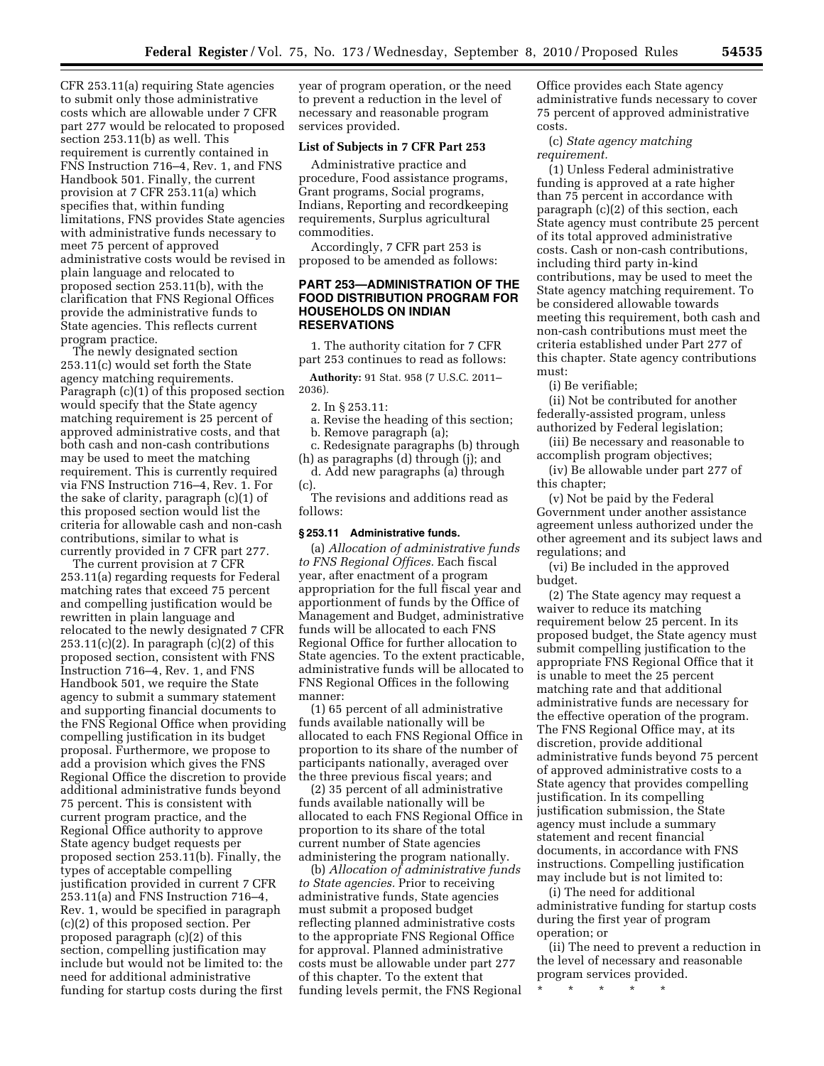CFR 253.11(a) requiring State agencies to submit only those administrative costs which are allowable under 7 CFR part 277 would be relocated to proposed section 253.11(b) as well. This requirement is currently contained in FNS Instruction 716–4, Rev. 1, and FNS Handbook 501. Finally, the current provision at 7 CFR 253.11(a) which specifies that, within funding limitations, FNS provides State agencies with administrative funds necessary to meet 75 percent of approved administrative costs would be revised in plain language and relocated to proposed section 253.11(b), with the clarification that FNS Regional Offices provide the administrative funds to State agencies. This reflects current program practice.

The newly designated section 253.11(c) would set forth the State agency matching requirements. Paragraph (c)(1) of this proposed section would specify that the State agency matching requirement is 25 percent of approved administrative costs, and that both cash and non-cash contributions may be used to meet the matching requirement. This is currently required via FNS Instruction 716–4, Rev. 1. For the sake of clarity, paragraph (c)(1) of this proposed section would list the criteria for allowable cash and non-cash contributions, similar to what is currently provided in 7 CFR part 277.

The current provision at 7 CFR 253.11(a) regarding requests for Federal matching rates that exceed 75 percent and compelling justification would be rewritten in plain language and relocated to the newly designated 7 CFR  $253.11(c)(2)$ . In paragraph  $(c)(2)$  of this proposed section, consistent with FNS Instruction 716–4, Rev. 1, and FNS Handbook 501, we require the State agency to submit a summary statement and supporting financial documents to the FNS Regional Office when providing compelling justification in its budget proposal. Furthermore, we propose to add a provision which gives the FNS Regional Office the discretion to provide additional administrative funds beyond 75 percent. This is consistent with current program practice, and the Regional Office authority to approve State agency budget requests per proposed section 253.11(b). Finally, the types of acceptable compelling justification provided in current 7 CFR 253.11(a) and FNS Instruction 716–4, Rev. 1, would be specified in paragraph (c)(2) of this proposed section. Per proposed paragraph (c)(2) of this section, compelling justification may include but would not be limited to: the need for additional administrative funding for startup costs during the first

year of program operation, or the need to prevent a reduction in the level of necessary and reasonable program services provided.

# **List of Subjects in 7 CFR Part 253**

Administrative practice and procedure, Food assistance programs, Grant programs, Social programs, Indians, Reporting and recordkeeping requirements, Surplus agricultural commodities.

Accordingly, 7 CFR part 253 is proposed to be amended as follows:

## **PART 253—ADMINISTRATION OF THE FOOD DISTRIBUTION PROGRAM FOR HOUSEHOLDS ON INDIAN RESERVATIONS**

1. The authority citation for 7 CFR part 253 continues to read as follows:

**Authority:** 91 Stat. 958 (7 U.S.C. 2011– 2036).

2. In § 253.11:

a. Revise the heading of this section;

b. Remove paragraph (a); c. Redesignate paragraphs (b) through

(h) as paragraphs (d) through (j); and d. Add new paragraphs (a) through  $(c)$ 

The revisions and additions read as follows:

#### **§ 253.11 Administrative funds.**

(a) *Allocation of administrative funds to FNS Regional Offices.* Each fiscal year, after enactment of a program appropriation for the full fiscal year and apportionment of funds by the Office of Management and Budget, administrative funds will be allocated to each FNS Regional Office for further allocation to State agencies. To the extent practicable, administrative funds will be allocated to FNS Regional Offices in the following manner:

(1) 65 percent of all administrative funds available nationally will be allocated to each FNS Regional Office in proportion to its share of the number of participants nationally, averaged over the three previous fiscal years; and

(2) 35 percent of all administrative funds available nationally will be allocated to each FNS Regional Office in proportion to its share of the total current number of State agencies administering the program nationally.

(b) *Allocation of administrative funds to State agencies.* Prior to receiving administrative funds, State agencies must submit a proposed budget reflecting planned administrative costs to the appropriate FNS Regional Office for approval. Planned administrative costs must be allowable under part 277 of this chapter. To the extent that funding levels permit, the FNS Regional

Office provides each State agency administrative funds necessary to cover 75 percent of approved administrative costs.

(c) *State agency matching requirement.* 

(1) Unless Federal administrative funding is approved at a rate higher than 75 percent in accordance with paragraph (c)(2) of this section, each State agency must contribute 25 percent of its total approved administrative costs. Cash or non-cash contributions, including third party in-kind contributions, may be used to meet the State agency matching requirement. To be considered allowable towards meeting this requirement, both cash and non-cash contributions must meet the criteria established under Part 277 of this chapter. State agency contributions must:

(i) Be verifiable;

(ii) Not be contributed for another federally-assisted program, unless authorized by Federal legislation;

(iii) Be necessary and reasonable to accomplish program objectives;

(iv) Be allowable under part 277 of this chapter;

(v) Not be paid by the Federal Government under another assistance agreement unless authorized under the other agreement and its subject laws and regulations; and

(vi) Be included in the approved budget.

(2) The State agency may request a waiver to reduce its matching requirement below 25 percent. In its proposed budget, the State agency must submit compelling justification to the appropriate FNS Regional Office that it is unable to meet the 25 percent matching rate and that additional administrative funds are necessary for the effective operation of the program. The FNS Regional Office may, at its discretion, provide additional administrative funds beyond 75 percent of approved administrative costs to a State agency that provides compelling justification. In its compelling justification submission, the State agency must include a summary statement and recent financial documents, in accordance with FNS instructions. Compelling justification may include but is not limited to:

(i) The need for additional administrative funding for startup costs during the first year of program operation; or

(ii) The need to prevent a reduction in the level of necessary and reasonable program services provided.

\* \* \* \* \*